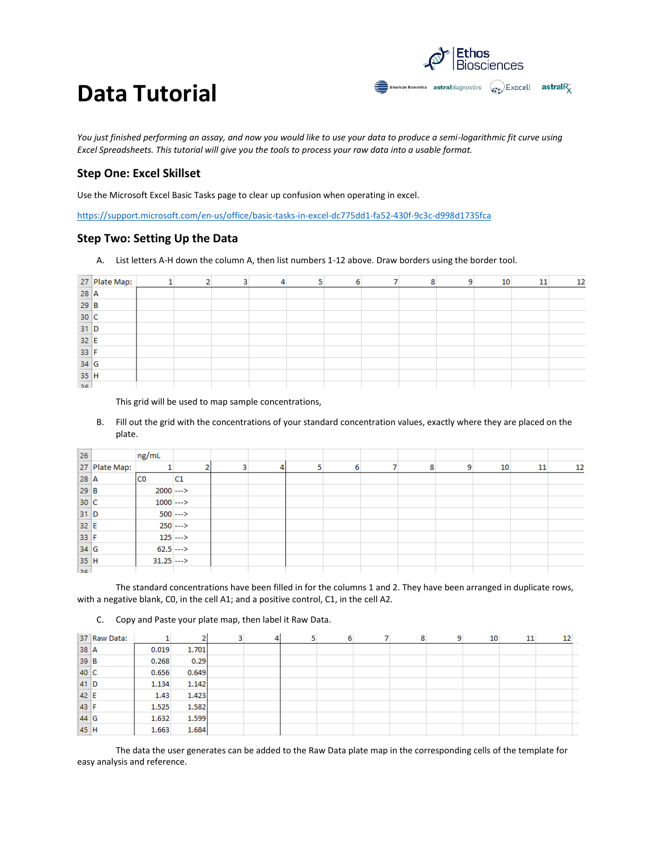

*You just finished performing an assay, and now you would like to use your data to produce a semi-logarithmic fit curve using Excel Spreadsheets. This tutorial will give you the tools to process your raw data into a usable format.* 

#### **Step One: Excel Skillset**

Use the Microsoft Excel Basic Tasks page to clear up confusion when operating in excel.

<https://support.microsoft.com/en-us/office/basic-tasks-in-excel-dc775dd1-fa52-430f-9c3c-d998d1735fca>

#### **Step Two: Setting Up the Data**

A. List letters A-H down the column A, then list numbers 1-12 above. Draw borders using the border tool.

|        | 27 Plate Map: |  |  |  |  | ۹ | 10 | 11 | 12 |
|--------|---------------|--|--|--|--|---|----|----|----|
| $28$ A |               |  |  |  |  |   |    |    |    |
| $29$ B |               |  |  |  |  |   |    |    |    |
| 30 C   |               |  |  |  |  |   |    |    |    |
| $31$ D |               |  |  |  |  |   |    |    |    |
| $32$ E |               |  |  |  |  |   |    |    |    |
| $33$ F |               |  |  |  |  |   |    |    |    |
| 34 G   |               |  |  |  |  |   |    |    |    |
| $35$ H |               |  |  |  |  |   |    |    |    |
| 26     |               |  |  |  |  |   |    |    |    |

This grid will be used to map sample concentrations,

B. Fill out the grid with the concentrations of your standard concentration values, exactly where they are placed on the plate.

| 26     |               | ng/mL        |            |   |   |   |   |   |    |    |    |
|--------|---------------|--------------|------------|---|---|---|---|---|----|----|----|
|        | 27 Plate Map: |              |            | 3 | 4 | 6 | 8 | 9 | 10 | 11 | 12 |
| $28$ A |               | <b>CO</b>    | C1         |   |   |   |   |   |    |    |    |
| $29$ B |               | $2000$ --->  |            |   |   |   |   |   |    |    |    |
| 30 C   |               | $1000$ --->  |            |   |   |   |   |   |    |    |    |
| $31$ D |               |              | $500$ ---> |   |   |   |   |   |    |    |    |
| $32$ E |               |              | $250$ ---> |   |   |   |   |   |    |    |    |
| 33 F   |               |              | $125$ ---> |   |   |   |   |   |    |    |    |
| 34 G   |               | $62.5$ --->  |            |   |   |   |   |   |    |    |    |
| 35H    |               | $31.25$ ---> |            |   |   |   |   |   |    |    |    |
| العوا  |               |              |            |   |   |   |   |   |    |    |    |

 The standard concentrations have been filled in for the columns 1 and 2. They have been arranged in duplicate rows, with a negative blank, C0, in the cell A1; and a positive control, C1, in the cell A2.

C. Copy and Paste your plate map, then label it Raw Data.

|        | 37 Raw Data: |       | $\overline{2}$ | з | 4 | 6 | 8 | 9 | 10 | 11 | 12 |  |
|--------|--------------|-------|----------------|---|---|---|---|---|----|----|----|--|
| 38 A   |              | 0.019 | 1.701          |   |   |   |   |   |    |    |    |  |
| 39 B   |              | 0.268 | 0.29           |   |   |   |   |   |    |    |    |  |
| 40 C   |              | 0.656 | 0.649          |   |   |   |   |   |    |    |    |  |
| $41$ D |              | 1.134 | 1.142          |   |   |   |   |   |    |    |    |  |
| 42 E   |              | 1.43  | 1.423          |   |   |   |   |   |    |    |    |  |
| 43 F   |              | 1.525 | 1.582          |   |   |   |   |   |    |    |    |  |
| $44$ G |              | 1.632 | 1.599          |   |   |   |   |   |    |    |    |  |
| 45 H   |              | 1.663 | 1.684          |   |   |   |   |   |    |    |    |  |

 The data the user generates can be added to the Raw Data plate map in the corresponding cells of the template for easy analysis and reference.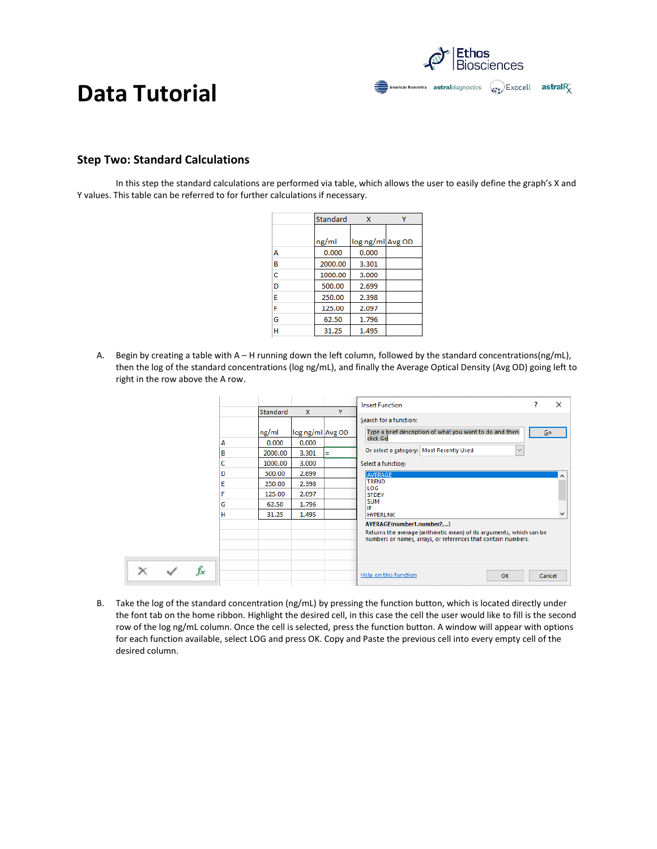Ethos<br>Biosciences American Bionostica astraldiagnostics (example Exocell astral R

#### **Step Two: Standard Calculations**

In this step the standard calculations are performed via table, which allows the user to easily define the graph's X and Y values. This table can be referred to for further calculations if necessary.

|   | Standard | $\mathsf{x}$     |  |
|---|----------|------------------|--|
|   |          |                  |  |
|   | ng/ml    | log ng/ml Avg OD |  |
| А | 0.000    | 0.000            |  |
| В | 2000.00  | 3.301            |  |
| C | 1000.00  | 3.000            |  |
| D | 500.00   | 2.699            |  |
| E | 250.00   | 2.398            |  |
| F | 125.00   | 2.097            |  |
| G | 62.50    | 1.796            |  |
| н | 31.25    | 1.495            |  |

A. Begin by creating a table with A – H running down the left column, followed by the standard concentrations(ng/mL), then the log of the standard concentrations (log ng/mL), and finally the Average Optical Density (Avg OD) going left to right in the row above the A row.

|  |    |                            |                                                                                |                                                                                        |        | X<br>7<br><b>Insert Function</b>                                                                                                                                                                                                                                      |
|--|----|----------------------------|--------------------------------------------------------------------------------|----------------------------------------------------------------------------------------|--------|-----------------------------------------------------------------------------------------------------------------------------------------------------------------------------------------------------------------------------------------------------------------------|
|  |    | А<br>в<br>c<br>D<br>E<br>F | Standard<br>ng/ml<br>0.000<br>2000.00<br>1000.00<br>500.00<br>250.00<br>125.00 | $\mathsf{x}$<br>log ng/ml Avg OD<br>0.000<br>3.301<br>3.000<br>2.699<br>2.398<br>2.097 | Y<br>Ξ | Search for a function:<br>Type a brief description of what you want to do and then<br>$\overline{60}$<br>click Go<br>Or select a category:   Most Recently Used<br>$\checkmark$<br>Select a function:<br>AVERAGE<br><b>TREND</b><br>LOG<br><b>STDEV</b><br><b>SUM</b> |
|  |    | G<br>н                     | 62.50<br>31.25                                                                 | 1.796<br>1.495                                                                         |        | IF<br><b>HYPERLINK</b>                                                                                                                                                                                                                                                |
|  |    |                            |                                                                                |                                                                                        |        | AVERAGE(number1,number2,)<br>Returns the average (arithmetic mean) of its arguments, which can be<br>numbers or names, arrays, or references that contain numbers.                                                                                                    |
|  | fx |                            |                                                                                |                                                                                        |        | Help on this function<br>OK<br>Cancel                                                                                                                                                                                                                                 |

B. Take the log of the standard concentration (ng/mL) by pressing the function button, which is located directly under the font tab on the home ribbon. Highlight the desired cell, in this case the cell the user would like to fill is the second row of the log ng/mL column. Once the cell is selected, press the function button. A window will appear with options for each function available, select LOG and press OK. Copy and Paste the previous cell into every empty cell of the desired column.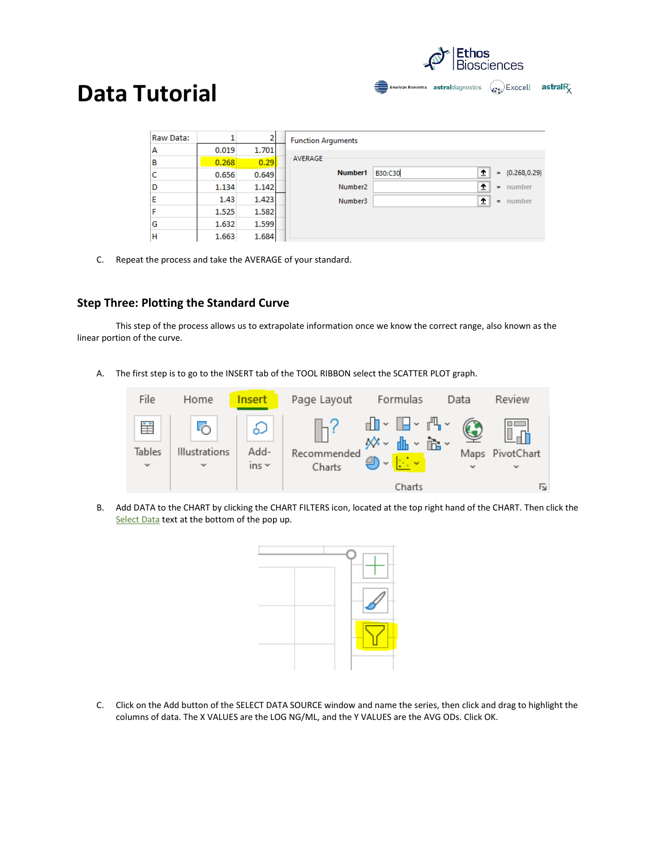

| Raw Data: |       | 2     | <b>Function Arguments</b> |                     |          |                 |  |  |  |  |
|-----------|-------|-------|---------------------------|---------------------|----------|-----------------|--|--|--|--|
| А         | 0.019 | 1.701 |                           |                     |          |                 |  |  |  |  |
| B         | 0.268 | 0.29  | AVERAGE                   |                     |          |                 |  |  |  |  |
| c         | 0.656 | 0.649 | Number1                   | ±<br><b>B30:C30</b> | $=$      | ${0.268, 0.29}$ |  |  |  |  |
| D         | 1.134 | 1.142 | Number <sub>2</sub>       | 杢                   | $\equiv$ | number          |  |  |  |  |
| E         | 1.43  | 1.423 | Number <sub>3</sub>       | 杢                   | $=$      | number          |  |  |  |  |
| F         | 1.525 | 1.582 |                           |                     |          |                 |  |  |  |  |
| G         | 1.632 | 1.599 |                           |                     |          |                 |  |  |  |  |
| н         | 1.663 | 1.684 |                           |                     |          |                 |  |  |  |  |

C. Repeat the process and take the AVERAGE of your standard.

#### **Step Three: Plotting the Standard Curve**

This step of the process allows us to extrapolate information once we know the correct range, also known as the linear portion of the curve.

A. The first step is to go to the INSERT tab of the TOOL RIBBON select the SCATTER PLOT graph.



B. Add DATA to the CHART by clicking the CHART FILTERS icon, located at the top right hand of the CHART. Then click the Select Data text at the bottom of the pop up.



C. Click on the Add button of the SELECT DATA SOURCE window and name the series, then click and drag to highlight the columns of data. The X VALUES are the LOG NG/ML, and the Y VALUES are the AVG ODs. Click OK.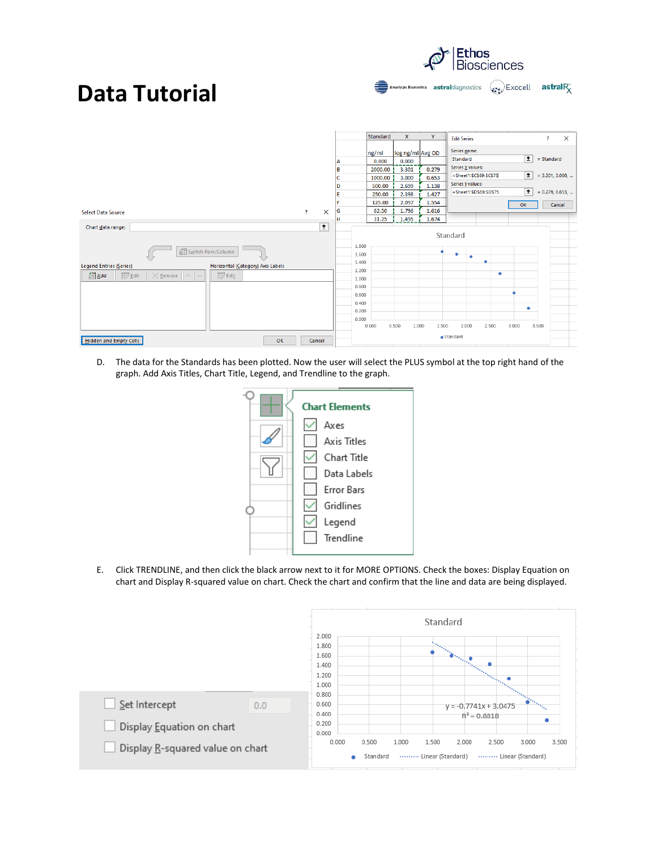|                                                                       |                |             |   | Standard       | $\mathsf{x}$     | Y              | <b>Edit Series</b>      |              | $\overline{\mathbf{?}}$ | $\times$ |
|-----------------------------------------------------------------------|----------------|-------------|---|----------------|------------------|----------------|-------------------------|--------------|-------------------------|----------|
|                                                                       |                |             |   | ng/ml          | log ng/ml Avg OD |                | Series name:            |              |                         |          |
|                                                                       |                |             | A | 0.000          | 0.000            |                | Standard                | $\uparrow$   | $=$ Standard            |          |
|                                                                       |                |             | B | 2000.00        | 3.301            | 0.279          | Series X values:        |              |                         |          |
|                                                                       |                |             | c | 1000.00        | 3.000            | 0.653          | =Sheet1!\$C\$69:\$C\$75 | $\hat{z}$    | $= 3.301, 3.000, $      |          |
|                                                                       |                |             | D | 500.00         | 2.699            | 1.138          | Series Y values:        |              |                         |          |
|                                                                       |                |             | E | 250.00         | 2.398            | 1.427          | =Sheet1!\$D\$69:\$D\$75 | $\mathbf{r}$ | $= 0.279, 0.653, $      |          |
|                                                                       |                |             | F | 125.00         | 2.097            | 1.554          |                         | OK           | Cancel                  |          |
| Select Data Source                                                    | $\overline{?}$ | $\times$    | G | 62.50          | 1.796            | 1.616          |                         |              |                         |          |
|                                                                       |                |             | н | 31.25          | 1.495            | 1.674          |                         |              |                         |          |
| Chart data range:<br>图 Switch Row/Column                              |                | $\pmb{\pm}$ |   | 1.800<br>1.600 |                  |                | Standard                |              |                         |          |
|                                                                       |                |             |   | 1.400          |                  |                | ٠<br>٠                  |              |                         |          |
| egend Entries (Series)<br>Horizontal (Category) Axis Labels           |                |             |   | 1.200          |                  |                |                         |              |                         |          |
| <b>Edit</b><br>$E$ Edit<br>图Add<br>$\times$ Remove<br>$\wedge$ $\vee$ |                |             |   | 1.000          |                  |                | ۰                       |              |                         |          |
|                                                                       |                |             |   | 0.800          |                  |                |                         |              |                         |          |
|                                                                       |                |             |   | 0.600          |                  |                |                         |              |                         |          |
|                                                                       |                |             |   | 0.400          |                  |                |                         |              |                         |          |
|                                                                       |                |             |   | 0.200          |                  |                |                         | ۰            |                         |          |
|                                                                       |                |             |   | 0.000          |                  |                |                         |              |                         |          |
|                                                                       |                |             |   | 0.000          | 0.500            | 1.500<br>1.000 | 2.000<br>2.500          | 3,000        | 3.500                   |          |
|                                                                       |                |             |   |                |                  |                | $\bullet$ Standard      |              |                         |          |
| <b>Hidden and Empty Cells</b><br>OK                                   |                | Cancel      |   |                |                  |                |                         |              |                         |          |

Ethos<br>Biosciences

**American Bionostica astral** diagnostics  $\left(\begin{matrix} a & b \\ c & d \end{matrix}\right)$  **Exocell astral**  $R_X^*$ 

D. The data for the Standards has been plotted. Now the user will select the PLUS symbol at the top right hand of the graph. Add Axis Titles, Chart Title, Legend, and Trendline to the graph.



E. Click TRENDLINE, and then click the black arrow next to it for MORE OPTIONS. Check the boxes: Display Equation on chart and Display R-squared value on chart. Check the chart and confirm that the line and data are being displayed.

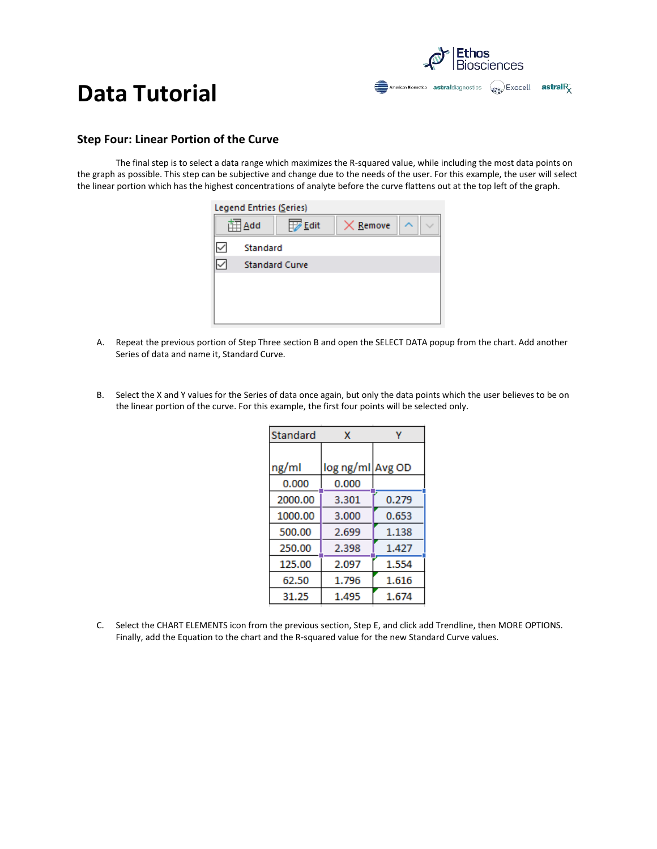

#### **Step Four: Linear Portion of the Curve**

The final step is to select a data range which maximizes the R-squared value, while including the most data points on the graph as possible. This step can be subjective and change due to the needs of the user. For this example, the user will select the linear portion which has the highest concentrations of analyte before the curve flattens out at the top left of the graph.



- A. Repeat the previous portion of Step Three section B and open the SELECT DATA popup from the chart. Add another Series of data and name it, Standard Curve.
- B. Select the X and Y values for the Series of data once again, but only the data points which the user believes to be on the linear portion of the curve. For this example, the first four points will be selected only.

| Standard | x                |       |  |  |
|----------|------------------|-------|--|--|
|          |                  |       |  |  |
| ng/ml    | log ng/ml Avg OD |       |  |  |
| 0.000    | 0.000            |       |  |  |
| 2000.00  | 3.301            | 0.279 |  |  |
| 1000.00  | 3.000            | 0.653 |  |  |
| 500.00   | 2.699            | 1.138 |  |  |
| 250.00   | 2.398            | 1.427 |  |  |
| 125.00   | 2.097            | 1.554 |  |  |
| 62.50    | 1.796            | 1.616 |  |  |
| 31.25    | 1.495            | 1.674 |  |  |

C. Select the CHART ELEMENTS icon from the previous section, Step E, and click add Trendline, then MORE OPTIONS. Finally, add the Equation to the chart and the R-squared value for the new Standard Curve values.